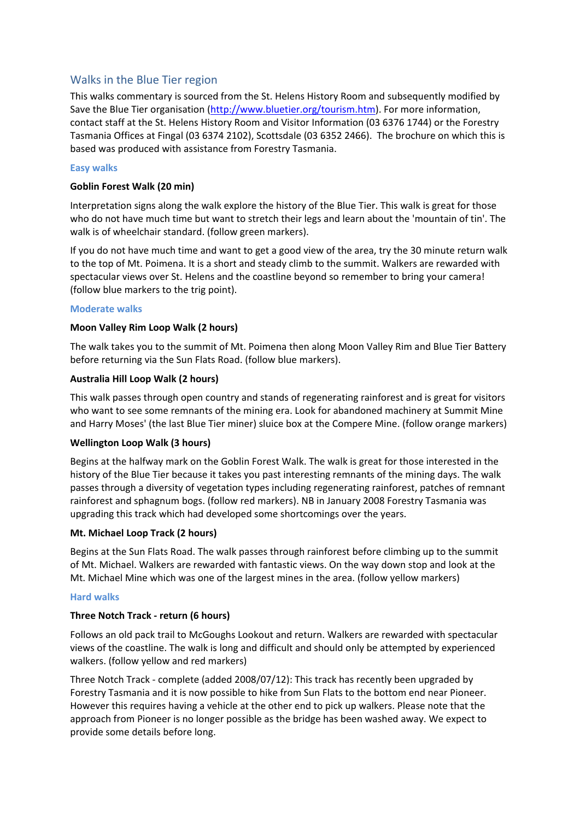# Walks in the Blue Tier region

This walks commentary is sourced from the St. Helens History Room and subsequently modified by Save the Blue Tier organisation [\(http://www.bluetier.org/tourism.htm\)](http://www.bluetier.org/tourism.htm). For more information, contact staff at the St. Helens History Room and Visitor Information (03 6376 1744) or the Forestry Tasmania Offices at Fingal (03 6374 2102), Scottsdale (03 6352 2466). The brochure on which this is based was produced with assistance from Forestry Tasmania.

### **Easy walks**

### **Goblin Forest Walk (20 min)**

Interpretation signs along the walk explore the history of the Blue Tier. This walk is great for those who do not have much time but want to stretch their legs and learn about the 'mountain of tin'. The walk is of wheelchair standard. (follow green markers).

If you do not have much time and want to get a good view of the area, try the 30 minute return walk to the top of Mt. Poimena. It is a short and steady climb to the summit. Walkers are rewarded with spectacular views over St. Helens and the coastline beyond so remember to bring your camera! (follow blue markers to the trig point).

#### **Moderate walks**

### **Moon Valley Rim Loop Walk (2 hours)**

The walk takes you to the summit of Mt. Poimena then along Moon Valley Rim and Blue Tier Battery before returning via the Sun Flats Road. (follow blue markers).

### **Australia Hill Loop Walk (2 hours)**

This walk passes through open country and stands of regenerating rainforest and is great for visitors who want to see some remnants of the mining era. Look for abandoned machinery at Summit Mine and Harry Moses' (the last Blue Tier miner) sluice box at the Compere Mine. (follow orange markers)

### **Wellington Loop Walk (3 hours)**

Begins at the halfway mark on the Goblin Forest Walk. The walk is great for those interested in the history of the Blue Tier because it takes you past interesting remnants of the mining days. The walk passes through a diversity of vegetation types including regenerating rainforest, patches of remnant rainforest and sphagnum bogs. (follow red markers). NB in January 2008 Forestry Tasmania was upgrading this track which had developed some shortcomings over the years.

### **Mt. Michael Loop Track (2 hours)**

Begins at the Sun Flats Road. The walk passes through rainforest before climbing up to the summit of Mt. Michael. Walkers are rewarded with fantastic views. On the way down stop and look at the Mt. Michael Mine which was one of the largest mines in the area. (follow yellow markers)

### **Hard walks**

### **Three Notch Track - return (6 hours)**

Follows an old pack trail to McGoughs Lookout and return. Walkers are rewarded with spectacular views of the coastline. The walk is long and difficult and should only be attempted by experienced walkers. (follow yellow and red markers)

Three Notch Track - complete (added 2008/07/12): This track has recently been upgraded by Forestry Tasmania and it is now possible to hike from Sun Flats to the bottom end near Pioneer. However this requires having a vehicle at the other end to pick up walkers. Please note that the approach from Pioneer is no longer possible as the bridge has been washed away. We expect to provide some details before long.